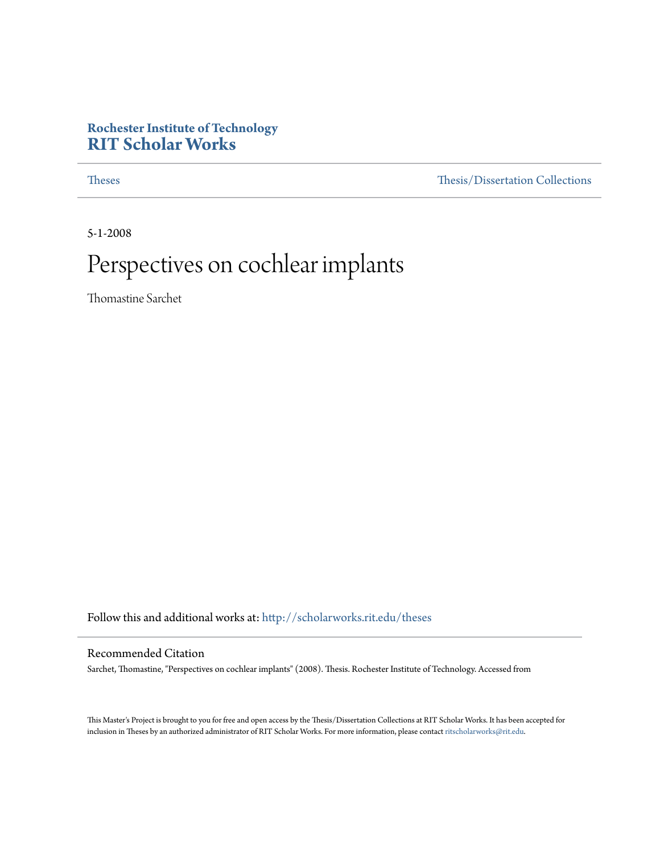## **Rochester Institute of Technology [RIT Scholar Works](http://scholarworks.rit.edu?utm_source=scholarworks.rit.edu%2Ftheses%2F4657&utm_medium=PDF&utm_campaign=PDFCoverPages)**

[Theses](http://scholarworks.rit.edu/theses?utm_source=scholarworks.rit.edu%2Ftheses%2F4657&utm_medium=PDF&utm_campaign=PDFCoverPages) [Thesis/Dissertation Collections](http://scholarworks.rit.edu/etd_collections?utm_source=scholarworks.rit.edu%2Ftheses%2F4657&utm_medium=PDF&utm_campaign=PDFCoverPages)

5-1-2008

# Perspectives on cochlear implants

Thomastine Sarchet

Follow this and additional works at: [http://scholarworks.rit.edu/theses](http://scholarworks.rit.edu/theses?utm_source=scholarworks.rit.edu%2Ftheses%2F4657&utm_medium=PDF&utm_campaign=PDFCoverPages)

#### Recommended Citation

Sarchet, Thomastine, "Perspectives on cochlear implants" (2008). Thesis. Rochester Institute of Technology. Accessed from

This Master's Project is brought to you for free and open access by the Thesis/Dissertation Collections at RIT Scholar Works. It has been accepted for inclusion in Theses by an authorized administrator of RIT Scholar Works. For more information, please contact [ritscholarworks@rit.edu](mailto:ritscholarworks@rit.edu).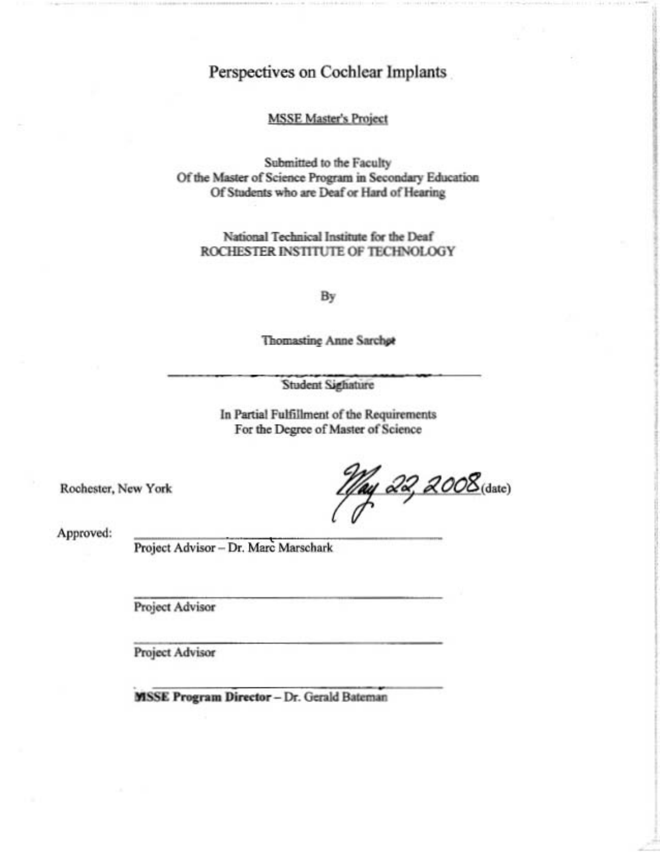## Perspectives on Cochlear Implants

#### **MSSE Master's Project**

Submitted to the Faculty Of the Master of Science Program in Secondary Education Of Students who are Deaf or Hard of Hearing

National Technical Institute for the Deaf ROCHESTER INSTITUTE OF TECHNOLOGY

By

**Thomasting Anne Sarchet** 

**Student Sighature** 

In Partial Fulfillment of the Requirements For the Degree of Master of Science

Rochester, New York

11/ay 22, 2008 (date)

Approved:

Project Advisor - Dr. Marc Marschark

Project Advisor

Project Advisor

**MSSE Program Director - Dr. Gerald Bateman**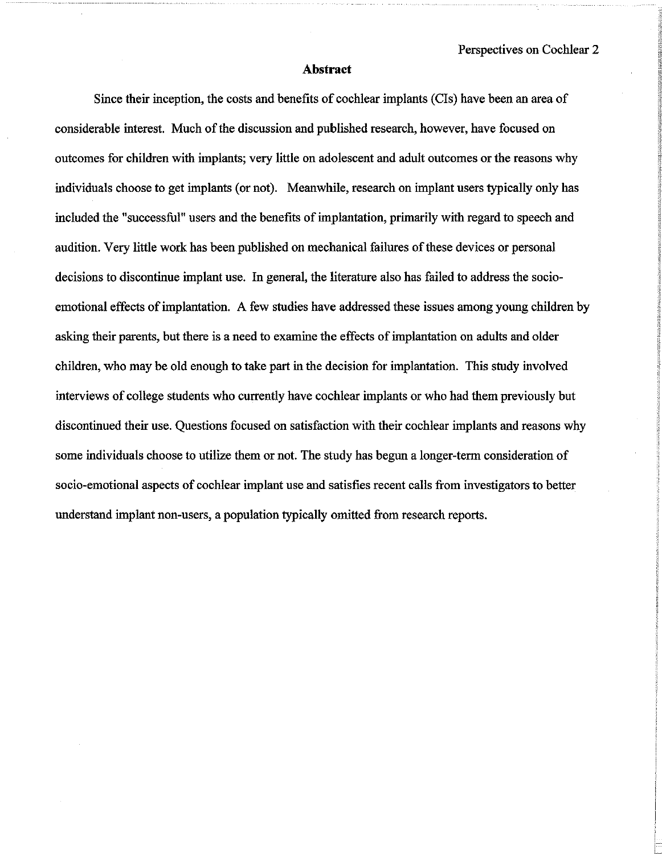#### **Abstract**

Since their inception, the costs and benefits of cochlear implants (CIs) have been an area of considerable interest. Much of the discussion and published research, however, have focused on outcomes for children with implants; very little on adolescent and adult outcomes or the reasons why individuals choose to get implants (or not). Meanwhile, research on implant users typically only has included the "successful" users and the benefits of implantation, primarily with regard to speech and audition. Very little work has been published on mechanical failures of these devices or personal decisions to discontinue implant use. In general, the literature also has failed to address the socioemotional effects of implantation. A few studies have addressed these issues among young children by asking their parents, but there is a need to examine the effects ofimplantation on adults and older children, who may be old enough to take part in the decision for implantation. This study involved interviews of college students who currently have cochlear implants or who had them previously but discontinued their use. Questions focused on satisfaction with their cochlear implants and reasons why some individuals choose to utilize them or not. The study has begun a longer-term consideration of socio-emotional aspects of cochlear implant use and satisfies recent calls from investigators to better understand implant non-users, a population typically omitted from research reports.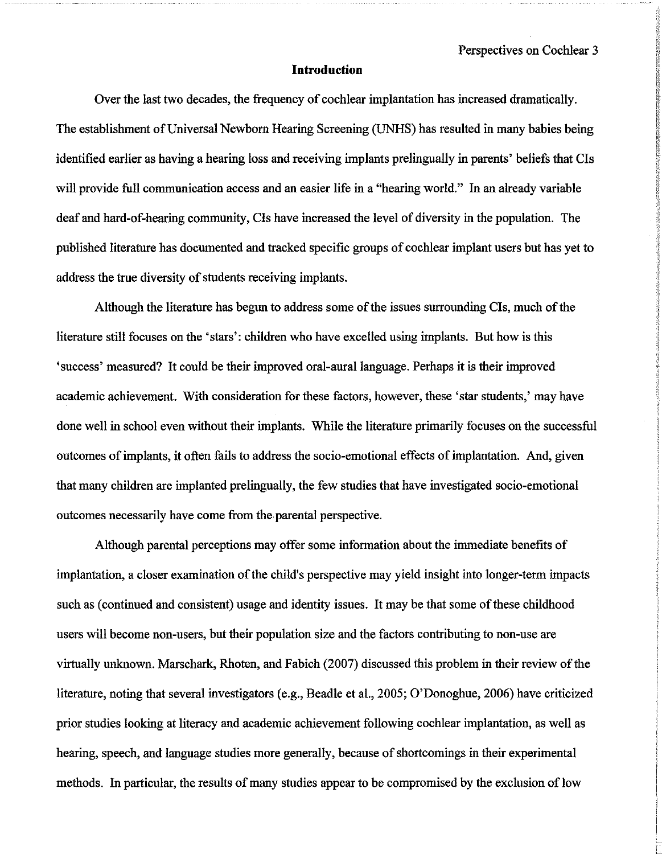#### **Introduction**

Over the last two decades, the frequency of cochlear implantation has increased dramatically. The establishment of Universal Newborn Hearing Screening (UNHS) has resulted in many babies being identified earlier as having a hearing loss and receiving implants prelingually in parents' beliefs that CIs will provide full communication access and an easier life in a "hearing world." In an already variable deaf and hard-of-hearing community, CIs have increased the level of diversity in the population. The published literature has documented and tracked specific groups of cochlear implant users but has yet to address the true diversity of students receiving implants.

Although the literature has begun to address some of the issues surrounding CIs, much of the literature still focuses on the 'stars': children who have excelled using implants. But how is this 'success' measured? It could be their improved oral-aural language. Perhaps it is their improved academic achievement. With consideration for these factors, however, these 'star students,' may have done well in school even without their implants. While the literature primarily focuses on the successful outcomes of implants, it often fails to address the socio-emotional effects of implantation. And, given that many children are implanted prelingually, the few studies that have investigated socio-emotional outcomes necessarily have come from the parental perspective.

Although parental perceptions may offer some information about the immediate benefits of implantation, a closer examination of the child's perspective may yield insight into longer-term impacts such as (continued and consistent) usage and identity issues. It may be that some of these childhood users will become non-users, but their population size and the factors contributing to non-use are virtually unknown. Marschark, Rhoten, and Fabich (2007) discussed this problem in their review of the literature, noting that several investigators (e.g., Beadle et aI., 2005; O'Donoghue, 2006) have criticized prior studies looking at literacy and academic achievement following cochlear implantation, as well as hearing, speech, and language studies more generally, because of shortcomings in their experimental methods. In particular, the results of many studies appear to be compromised by the exclusion of low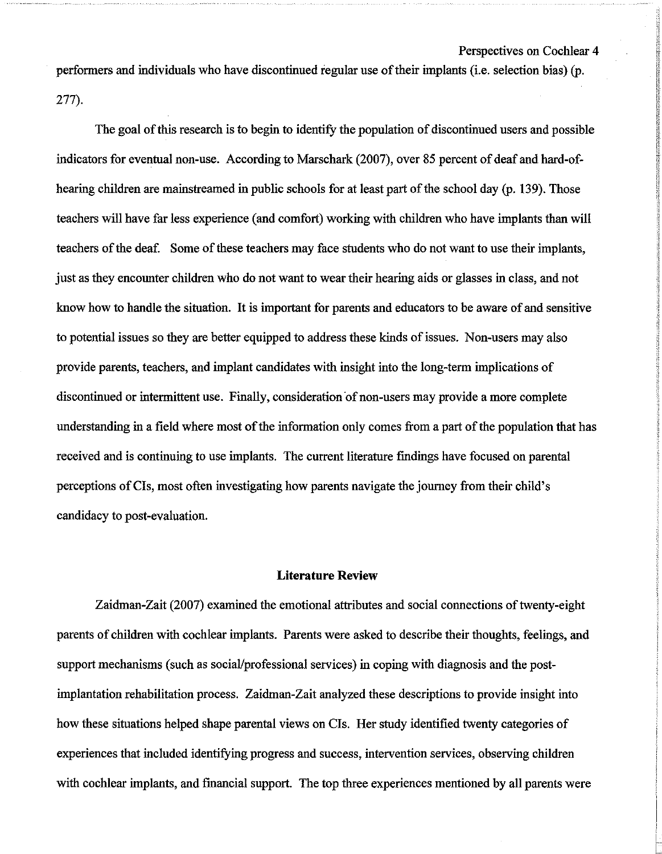performers and individuals who have discontinued regular use of their implants (i.e. selection bias) (p. 277).

The goal of this research is to begin to identify the population of discontinued users and possible indicators for eventual non-use. According to Marschark (2007), over 85 percent of deaf and hard-ofhearing children are mainstreamed in public schools for at least part of the school day (p. 139). Those teachers will have far less experience (and comfort) working with children who have implants than will teachers of the deaf. Some of these teachers may face students who do not want to use their implants, just as they encounter children who do not want to wear their hearing aids or glasses in class, and not know how to handle the situation. It is important for parents and educators to be aware of and sensitive to potential issues so they are better equipped to address these kinds ofissues. Non-users may also provide parents, teachers, and implant candidates with insight into the long-term implications of discontinued or intermittent use. Finally, consideration of non-users may provide a more complete understanding in a field where most of the information only comes from a part of the population that has received and is continuing to use implants. The current literature fmdings have focused on parental perceptions ofCIs, most often investigating how parents navigate the journey from their child's candidacy to post-evaluation.

#### **Literature Review**

Zaidman-Zait (2007) examined the emotional attributes and social connections of twenty-eight parents of children with cochlear implants. Parents were asked to describe their thoughts, feelings, and support mechanisms (such as social/professional services) in coping with diagnosis and the postimplantation rehabilitation process. Zaidman-Zait analyzed these descriptions to provide insight into how these situations helped shape parental views on CIs. Her study identified twenty categories of experiences that included identifying progress and success, intervention services, observing children with cochlear implants, and financial support. The top three experiences mentioned by all parents were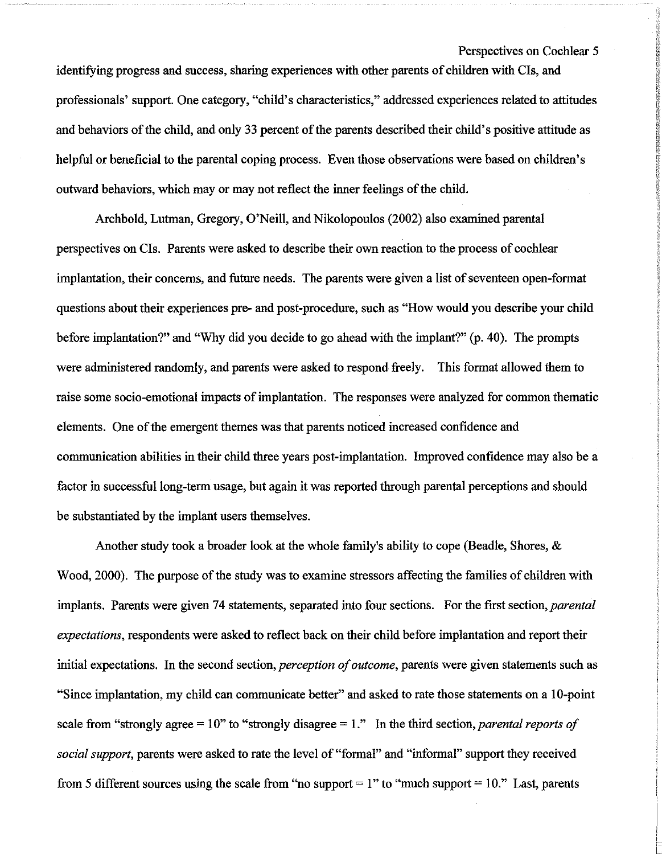identifying progress and success, sharing experiences with other parents of children with CIs, and professionals' support. One category, "child's characteristics," addressed experiences related to attitudes and behaviors of the child, and only 33 percent of the parents described their child's positive attitude as helpful or beneficial to the parental coping process. Even those observations were based on children's outward behaviors, which may or may not reflect the inner feelings of the child.

Archbold, Lutman, Gregory, O'Neill, and Nikolopoulos (2002) also examined parental perspectives on CIs. Parents were asked to describe their own reaction to the process of cochlear implantation, their concerns, and future needs. The parents were given a list of seventeen open-format questions about their experiences pre- and post-procedure, such as "How would you describe your child before implantation?" and "Why did you decide to go ahead with the implant?" (p. 40). The prompts were administered randomly, and parents were asked to respond freely. This format allowed them to raise some socio-emotional impacts of implantation. The responses were analyzed for common thematic elements. One of the emergent themes was that parents noticed increased confidence and communication abilities in their child three years post-implantation. Improved confidence may also be a factor in successful long-term usage, but again it was reported through parental perceptions and should be substantiated by the implant users themselves.

Another study took a broader look at the whole family's ability to cope (Beadle, Shores, & Wood, 2000). The purpose of the study was to examine stressors affecting the families of children with implants. Parents were given 74 statements, separated into four sections. For the first section, *parental expectations,* respondents were asked to reflect back on their child before implantation and report their initial expectations. In the second section, *perception of outcome*, parents were given statements such as "Since implantation, my child can communicate better" and asked to rate those statements on a 10-point scale from "strongly agree  $=10$ " to "strongly disagree  $=1$ ." In the third section, *parental reports of social support,* parents were asked to rate the level of "formal" and "informal" support they received from 5 different sources using the scale from "no support  $= 1$ " to "much support  $= 10$ ." Last, parents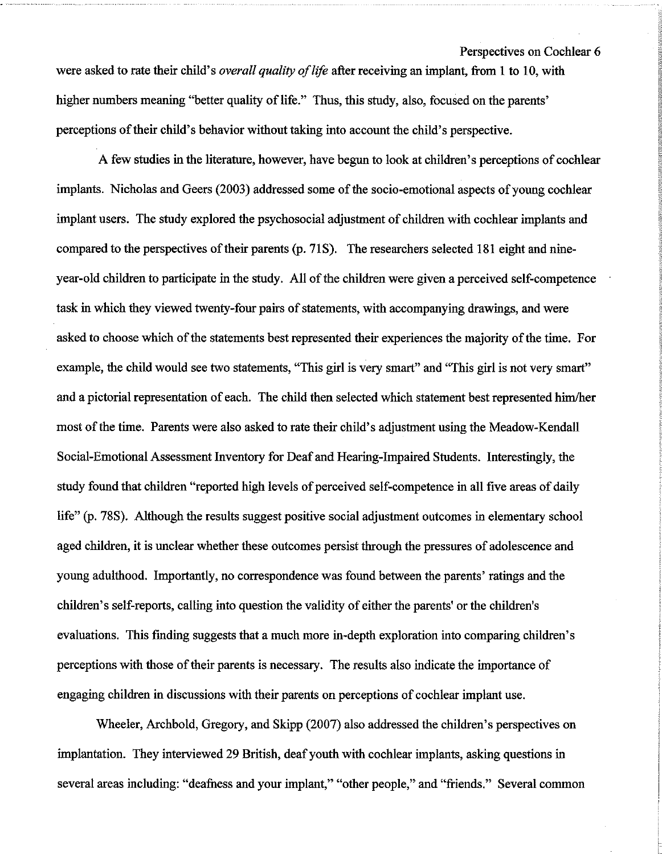Perspectives on Cochlear 6 were asked to rate their child's *overall quality of life* after receiving an implant, from 1 to 10, with higher numbers meaning "better quality of life." Thus, this study, also, focused on the parents' perceptions of their child's behavior without taking into account the child's perspective.

A few studies in the literature, however, have begun to look at children's perceptions of cochlear implants. Nicholas and Geers (2003) addressed some of the socio-emotional aspects of young cochlear implant users. The study explored the psychosocial adjustment of children with cochlear implants and compared to the perspectives of their parents (p. 71S). The researchers selected 181 eight and nineyear-old children to participate in the study. All of the children were given a perceived self-competence task in which they viewed twenty-four pairs of statements, with accompanying drawings, and were asked to choose which of the statements best represented their experiences the majority of the time. For example, the child would see two statements, "This girl is very smart" and "This girl is not very smart" and a pictorial representation of each. The child then selected which statement best represented him/her most of the time. Parents were also asked to rate their child's adjustment using the Meadow-Kendall Social-Emotional Assessment Inventory for Deaf and Hearing-Impaired Students. Interestingly, the study found that children "reported high levels of perceived self-competence in all five areas of daily life" (p. 78S). Although the results suggest positive social adjustment outcomes in elementary school aged children, it is unclear whether these outcomes persist through the pressures of adolescence and young adulthood. Importantly, no correspondence was found between the parents' ratings and the children's self-reports, calling into question the validity of either the parents' or the children's evaluations. This fmding suggests that a much more in-depth exploration into comparing children's perceptions with those of their parents is necessary. The results also indicate the importance of engaging children in discussions with their parents on perceptions of cochlear implant use.

Wheeler, Archbold, Gregory, and Skipp (2007) also addressed the children's perspectives on implantation. They interviewed 29 British, deafyouth with cochlear implants, asking questions in several areas including: "deafness and your implant," "other people," and "friends." Several common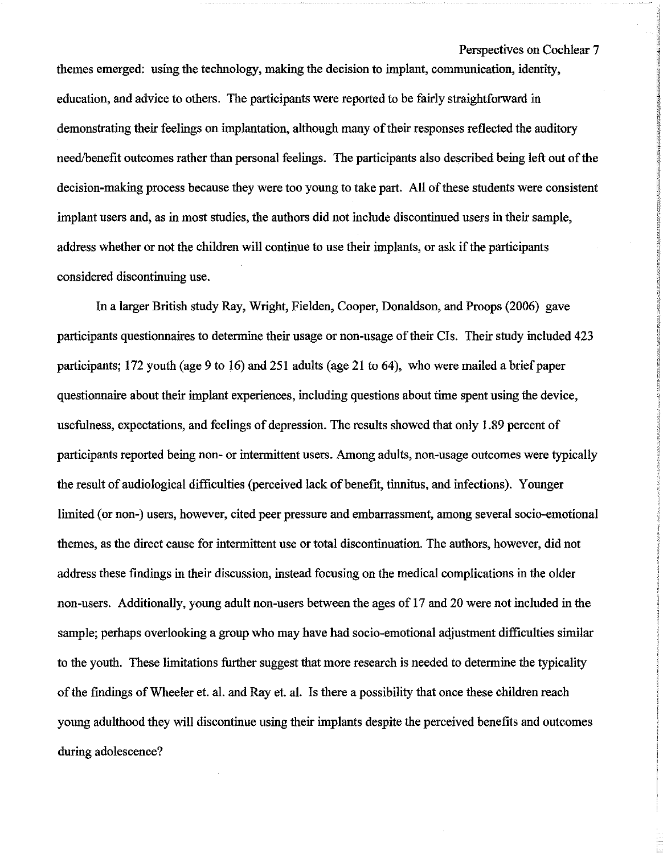themes emerged: using the technology, making the decision to implant, communication, identity, education, and advice to others. The participants were reported to be fairly straightforward in demonstrating their feelings on implantation, although many of their responses reflected the auditory need/benefit outcomes rather than personal feelings. The participants also described being left out of the decision-making process because they were too young to take part. All of these students were consistent implant users and, as in most studies, the authors did not include discontinued users in their sample, address whether or not the children will continue to use their implants, or ask if the participants considered discontinuing use.

In a larger British study Ray, Wright, Fielden, Cooper, Donaldson, and Proops (2006) gave participants questionnaires to determine their usage or non-usage of their CIs. Their study included 423 participants; 172 youth (age 9 to 16) and 251 adults (age 21 to 64), who were mailed a brief paper questionnaire about their implant experiences, including questions about time spent using the device, usefulness, expectations, and feelings of depression. The results showed that only 1.89 percent of participants reported being non- or intermittent users. Among adults, non-usage outcomes were typically the result of audiological difficulties (perceived lack of benefit, tinnitus, and infections). Younger limited (or non-) users, however, cited peer pressure and embarrassment, among several socio-emotional themes, as the direct cause for intermittent use or total discontinuation. The authors, however, did not address these fmdings in their discussion, instead focusing on the medical complications in the older non-users. Additionally, young adult non-users between the ages of 17 and 20 were not included in the sample; perhaps overlooking a group who may have had socio-emotional adjustment difficulties similar to the youth. These limitations further suggest that more research is needed to determine the typicality ofthe findings ofWheeler et. al. and Ray et. al. Is there a possibility that once these children reach young adulthood they will discontinue using their implants despite the perceived benefits and outcomes during adolescence?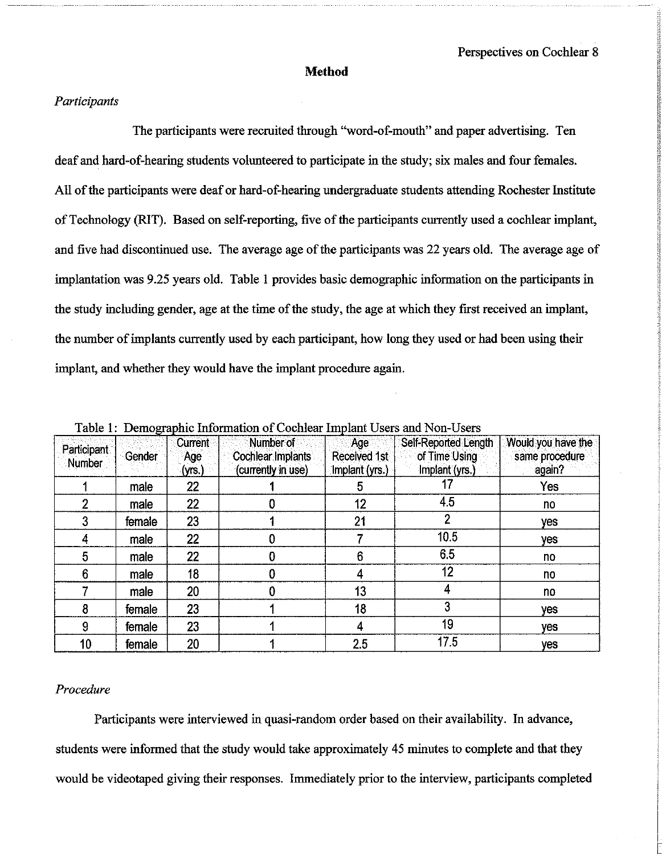#### **Method**

#### *Participants*

The participants were recruited through "word-of-mouth" and paper advertising. Ten deaf and hard-of-hearing students volunteered to participate in the study; six males and four females. All of the participants were deaf or hard-of-hearing undergraduate students attending Rochester Institute of Technology (RIT). Based on self-reporting, five of the participants currently used a cochlear implant, and five had discontinued use. The average age of the participants was 22 years old. The average age of implantation was 9.25 years old. Table 1 provides basic demographic information on the participants in the study including gender, age at the time of the study, the age at which they first received an implant, the number of implants currently used by each participant, how long they used or had been using their implant, and whether they would have the implant procedure again.

| Participant<br>Number | Gender | Current<br>Age<br>(yrs.) | Number of<br><b>Cochlear Implants</b><br>(currently in use) | Age<br>Received 1st<br>Implant (yrs.) | Self-Reported Length<br>of Time Using<br>Implant (yrs.) | Would you have the<br>same procedure<br>again? |
|-----------------------|--------|--------------------------|-------------------------------------------------------------|---------------------------------------|---------------------------------------------------------|------------------------------------------------|
|                       | male   | 22                       |                                                             | n                                     |                                                         | Yes                                            |
|                       | male   | 22                       | 0                                                           | 12                                    | 4.5                                                     | no                                             |
|                       | female | 23                       |                                                             | 21                                    |                                                         | <b>ves</b>                                     |
|                       | male   | 22                       |                                                             |                                       | 10.5                                                    | yes                                            |
| 5                     | male   | 22                       |                                                             | 6                                     | 6.5                                                     | no                                             |
| 6                     | male   | 18                       |                                                             |                                       | 12                                                      | no                                             |
|                       | male   | 20                       |                                                             | 13                                    |                                                         | no                                             |
| 8                     | female | 23                       |                                                             | 18                                    | 3                                                       | yes                                            |
| 9                     | female | 23                       |                                                             |                                       | 19                                                      | yes                                            |
| 10                    | female | 20                       |                                                             | 2.5                                   | 17.5                                                    | yes                                            |

Table 1: Demographic Information of Cochlear Implant Users and Non-Users

#### *Procedure*

Participants were interviewed in quasi-random order based on their availability. In advance, students were informed that the study would take approximately 45 minutes to complete and that they would be videotaped giving their responses. Immediately prior to the interview, participants completed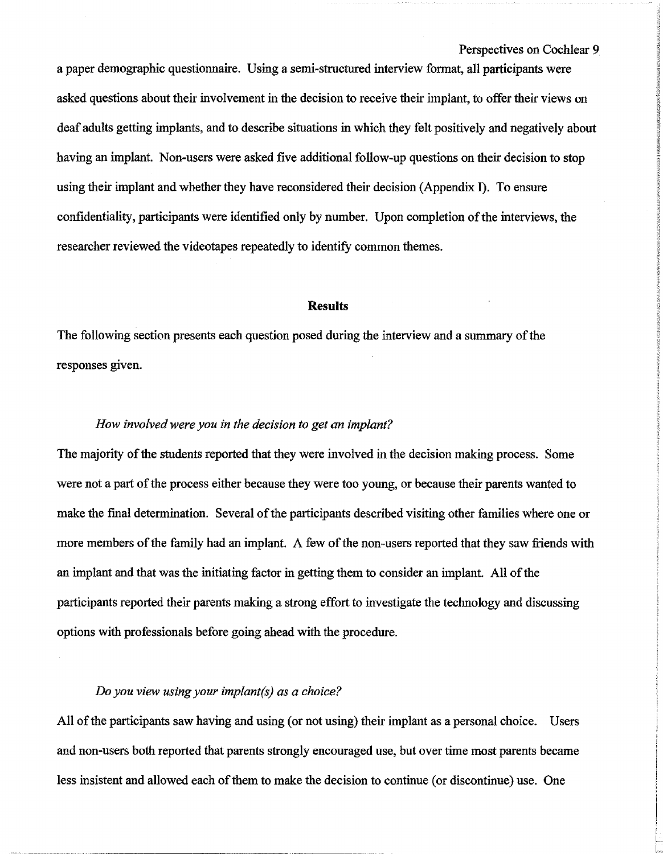a paper demographic questionnaire. Using a semi-structured interview format. all participants were asked questions about their involvement in the decision to receive their implant. to offer their views on deaf adults getting implants. and to describe situations in which they felt positively and negatively about having an implant. Non-users were asked five additional follow-up questions on their decision to stop using their implant and whether they have reconsidered their decision (Appendix I). To ensure confidentiality, participants were identified only by number. Upon completion of the interviews, the researcher reviewed the videotapes repeatedly to identify common themes.

#### **Results**

The following section presents each question posed during the interview and a summary of the responses given.

#### *How involvedwere you in the decision to get an implant?*

The majority of the students reported that they were involved in the decision making process. Some were not a part of the process either because they were too young, or because their parents wanted to make the final determination. Several of the participants described visiting other families where one or more members of the family had an implant. A few of the non-users reported that they saw friends with an implant and that was the initiating factor in getting them to consider an implant. All of the participants reported their parents making a strong effort to investigate the technology and discussing options with professionals before going ahead with the procedure.

#### *Do you view using your implant(s) as a choice?*

All of the participants saw having and using (or not using) their implant as a personal choice. Users and non-users both reported that parents strongly encouraged use, but over time most parents became less insistent and allowed each of them to make the decision to continue (or discontinue) use. One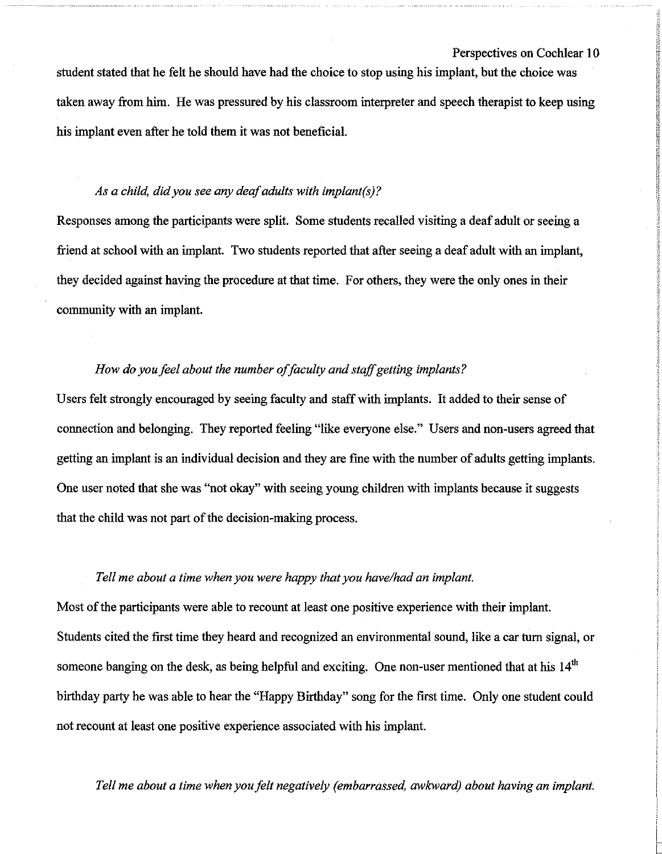student stated that he felt he should have had the choice to stop using his implant, but the choice was taken away from him. He was pressured by his classroom interpreter and speech therapist to keep using his implant even after he told them it was not beneficial.

#### *As a child, did you see any deafadults with implant(s)?*

Responses among the participants were split. Some students recalled visiting a deaf adult or seeing a friend at school with an implant. Two students reported that after seeing a deaf adult with an implant, they decided against having the procedure at that time. For others, they were the only ones in their community with an implant.

#### *How do youfeel about the number offaculty andstaffgetting implants?*

Users felt strongly encouraged by seeing faculty and staffwith implants. It added to their sense of connection and belonging. They reported feeling "like everyone else." Users and non-users agreed that getting an implant is an individual decision and they are fme with the number of adults getting implants. One user noted that she was "not okay" with seeing young children with implants because it suggests that the child was not part of the decision-making process.

#### *Tell me about a time when you were happy that you have/had an implant.*

Most of the participants were able to recount at least one positive experience with their implant. Students cited the first time they heard and recognized an environmental sound, like a car tum signal, or someone banging on the desk, as being helpful and exciting. One non-user mentioned that at his 14<sup>th</sup> birthday party he was able to hear the "Happy Birthday" song for the first time. Only one student could not recount at least one positive experience associated with his implant.

*Tell me about a time when you felt negatively (embarrassed, awkward) about having an implant.*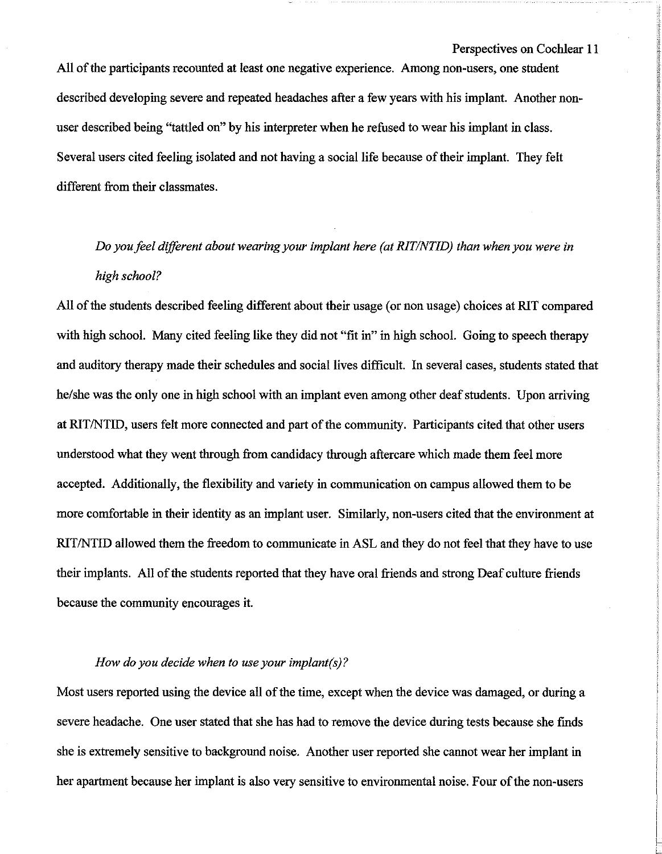All of the participants recounted at least one negative experience. Among non-users, one student described developing severe and repeated headaches after a few years with his implant. Another nonuser described being "tattled on" by his interpreter when he refused to wear his implant in class. Several users cited feeling isolated and not having a social life because of their implant. They felt different from their classmates.

## *Do youfeel different about wearing your implant here (at RlT/NTID) than when you were in high school?*

All of the students described feeling different about their usage (or non usage) choices at RIT compared with high school. Many cited feeling like they did not "fit in" in high school. Going to speech therapy and auditory therapy made their schedules and social lives difficult. In several cases, students stated that he/she was the only one in high school with an implant even among other deaf students. Upon arriving at RIT/NTID, users felt more connected and part of the community. Participants cited that other users understood what they went through from candidacy through aftercare which made them feel more accepted. Additionally, the flexibility and variety in communication on campus allowed them to be more comfortable in their identity as an implant user. Similarly, non-users cited that the environment at RIT/NTID allowed them the freedom to communicate in ASL and they do not feel that they have to use their implants. All of the students reported that they have oral friends and strong Deaf culture friends because the community encourages it.

#### *How do you decide when to use your implant(s)?*

Most users reported using the device all of the time, except when the device was damaged, or during a severe headache. One user stated that she has had to remove the device during tests because she finds she is extremely sensitive to background noise. Another user reported she cannot wear her implant in her apartment because her implant is also very sensitive to environmental noise. Four of the non-users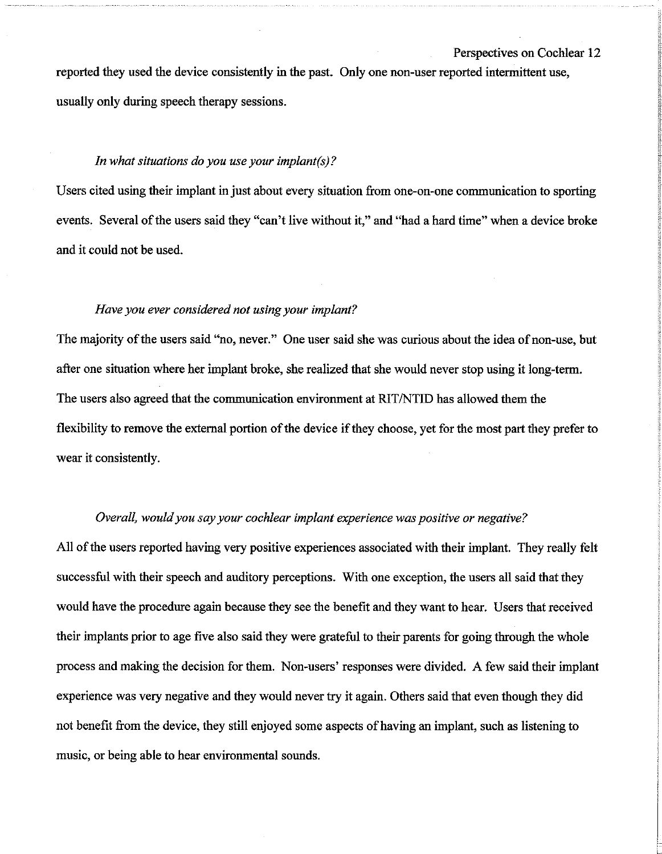reported they used the device consistently in the past. Only one non-user reported intermittent use, usually only during speech therapy sessions.

#### *In what situations do you use your implant(s)?*

Users cited using their implant in just about every situation from one-on-one communication to sporting events. Several of the users said they "can't live without it," and "had a hard time" when a device broke and it could not be used.

#### *Have you ever considered not using your implant?*

The majority of the users said "no, never." One user said she was curious about the idea of non-use, but after one situation where her implant broke, she realized that she would never stop using it long-term. The users also agreed that the communication environment at RIT/NTID has allowed them the flexibility to remove the external portion of the device if they choose, yet for the most part they prefer to wear it consistently.

#### *Overall, wouldyou say your cochlear implant experience was positive or negative?*

All of the users reported having very positive experiences associated with their implant. They really felt successful with their speech and auditory perceptions. With one exception, the users all said that they would have the procedure again because they see the benefit and they want to hear. Users that received their implants prior to age five also said they were grateful to their parents for going through the whole process and making the decision for them. Non-users' responses were divided. A few said their implant experience was very negative and they would never try it again. Others said that even though they did not benefit from the device, they still enjoyed some aspects of having an implant, such as listening to music, or being able to hear environmental sounds.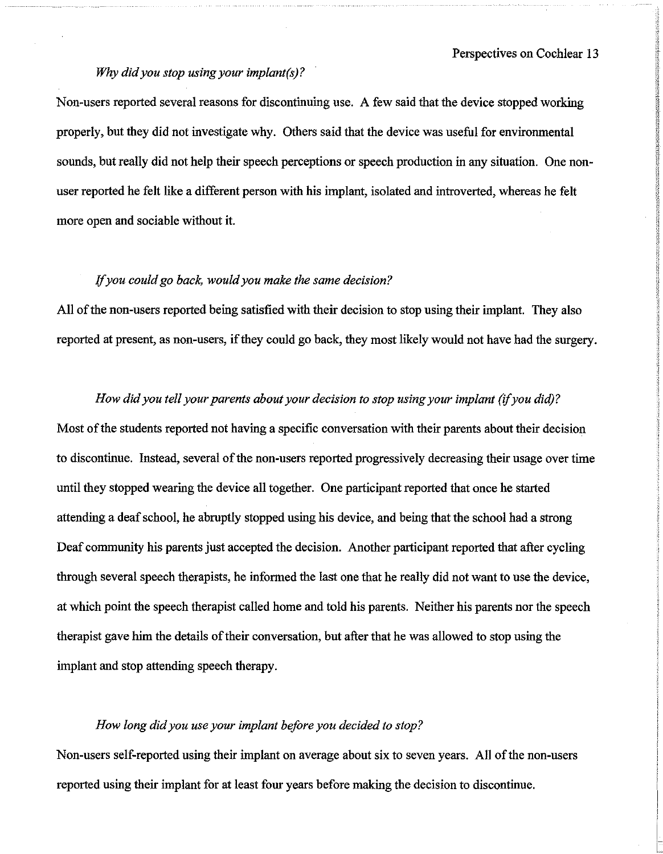#### *Why didyou stop using your implant(s)?*

Non-users reported several reasons for discontinuing use. A few said that the device stopped working properly, but they did not investigate why. Others said that the device was useful for environmental sounds, but really did not help their speech perceptions or speech production in any situation. One nonuser reported he felt like a different person with his implant, isolated and introverted, whereas he felt more open and sociable without it.

#### if*you could go back, wouldyou make the same decision?*

All of the non-users reported being satisfied with their decision to stop using their implant. They also reported at present, as non-users, if they could go back, they most likely would not have had the surgery.

#### *How did* you *tell* your parents about your *decision* to *stop* using your *implant* (*if* you *did*)?

Most of the students reported not having a specific conversation with their parents about their decision to discontinue. Instead, several of the non-users reported progressively decreasing their usage over time until they stopped wearing the device all together. One participant reported that once he started attending a deaf school, he abruptly stopped using his device, and being that the school had a strong Deaf community his parents just accepted the decision. Another participant reported that after cycling through several speech therapists, he informed the last one that he really did not want to use the device, at which point the speech therapist called home and told his parents. Neither his parents nor the speech therapist gave him the details oftheir conversation, but after that he was allowed to stop using the implant and stop attending speech therapy.

#### *How long didyou use your implant before you decided to stop?*

Non-users self-reported using their implant on average about six to seven years. All of the non-users reported using their implant for at least four years before making the decision to discontinue.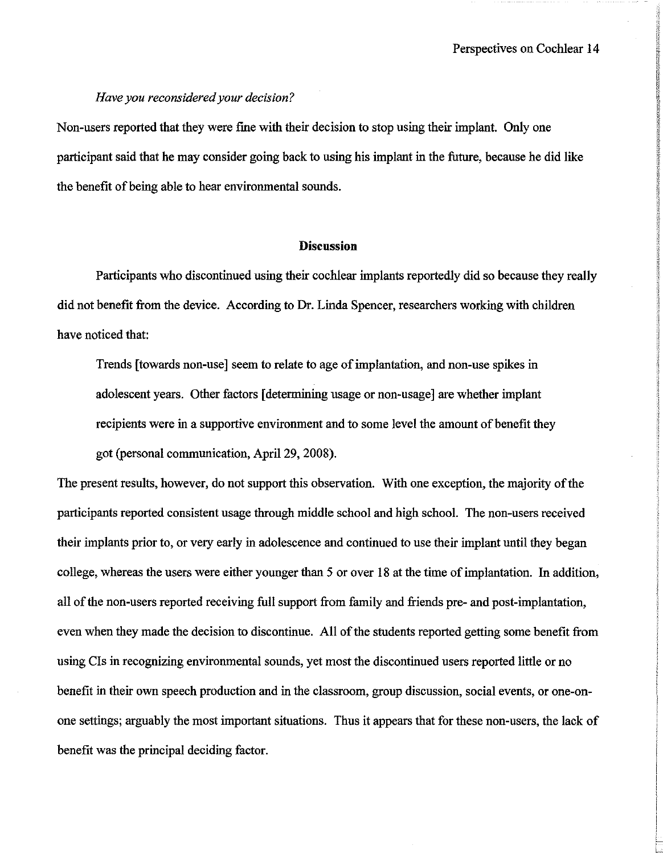#### *Have vou reconsidered vour decision?*

Non-users reported that they were fme with their decision to stop using their implant. Only one participant said that he may consider going back to using his implant in the future, because he did like the benefit of being able to hear environmental sounds.

#### **Discussion**

Participants who discontinued using their cochlear implants reportedly did so because they really did not benefit from the device. According to Dr. Linda Spencer, researchers working with children have noticed that:

Trends [towards non-use] seem to relate to age of implantation, and non-use spikes in adolescent years. Other factors [determining usage or non-usage] are whether implant recipients were in a supportive environment and to some level the amount of benefit they got (personal communication, April 29, 2008).

The present results, however, do not support this observation. With one exception, the majority of the participants reported consistent usage through middle school and high school. The non-users received their implants prior to, or very early in adolescence and continued to use their implant until they began college, whereas the users were either younger than 5 or over 18 at the time ofimplantation. In addition, all of the non-users reported receiving full support from family and friends pre- and post-implantation, even when they made the decision to discontinue. All of the students reported getting some benefit from using CIs in recognizing environmental sounds, yet most the discontinued users reported little or no benefit in their own speech production and in the classroom, group discussion, social events, or one-onone settings; arguably the most important situations. Thus it appears that for these non-users, the lack of benefit was the principal deciding factor.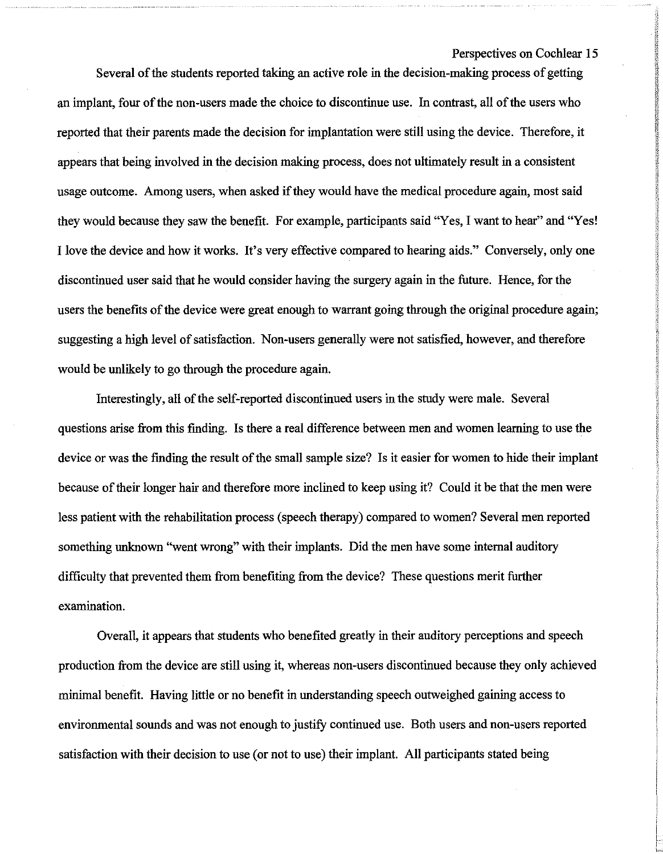PARTIC CONTRACTOR CONTRACTOR

Several of the students reported taking an active role in the decision-making process of getting an implant, four of the non-users made the choice to discontinue use. In contrast, all of the users who reported that their parents made the decision for implantation were still using the device. Therefore, it appears that being involved in the decision making process, does not ultimately result in a consistent usage outcome. Among users, when asked if they would have the medical procedure again, most said they would because they saw the benefit. For example, participants said "Yes, I want to hear" and "Yes! I love the device and how it works. It's very effective compared to hearing aids." Conversely, only one discontinued user said that he would consider having the surgery again in the future. Hence, for the users the benefits of the device were great enough to warrant going through the original procedure again; suggesting a high level of satisfaction. Non-users generally were not satisfied, however, and therefore would be unlikely to go through the procedure again.

Interestingly, all of the self-reported discontinued users in the study were male. Several questions arise from this fmding. Is there a real difference between men and women learning to use the device or was the finding the result of the small sample size? Is it easier for women to hide their implant because of their longer hair and therefore more inclined to keep using it? Could it be that the men were less patient with the rehabilitation process (speech therapy) compared to women? Several men reported something unknown "went wrong" with their implants. Did the men have some internal auditory difficulty that prevented them from benefiting from the device? These questions merit further examination.

Overall, it appears that students who benefited greatly in their auditory perceptions and speech production from the device are still using it, whereas non-users discontinued because they only achieved minimal benefit. Having little or no benefit in understanding speech outweighed gaining access to environmental sounds and was not enough to justify continued use. Both users and non-users reported satisfaction with their decision to use (or not to use) their implant. All participants stated being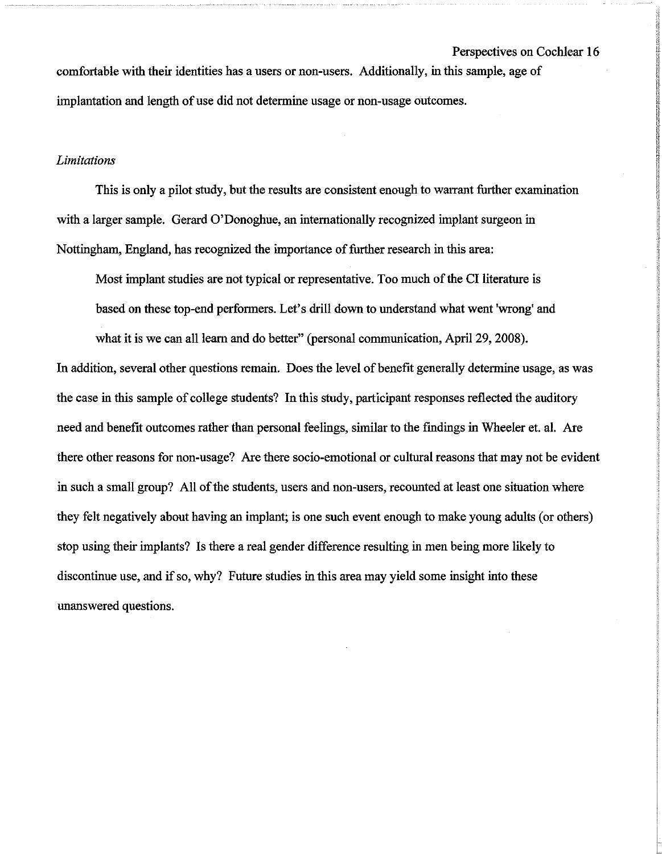comfortable with their identities has a users or non-users. Additionally, in this sample, age of implantation and length of use did not determine usage or non-usage outcomes.

#### *Limitations*

This is only a pilot study, but the results are consistent enough to warrant further examination with a larger sample. Gerard O'Donoghue, an internationally recognized implant surgeon in Nottingham, England, has recognized the importance of further research in this area:

Most implant studies are not typical or representative. Too much of the CI literature is based on these top-end performers. Let's drill down to understand what went 'wrong' and

what it is we can all learn and do better" (personal communication, April 29, 2008).

In addition, several other questions remain. Does the level of benefit generally determine usage, as was the case in this sample of college students? In this study, participant responses reflected the auditory need and benefit outcomes rather than personal feelings, similar to the fmdings in Wheeler et. al. Are there other reasons for non-usage? Are there socio-emotional or cultural reasons that may not be evident in such a small group? All of the students, users and non-users, recounted at least one situation where they felt negatively about having an implant; is one such event enough to make young adults (or others) stop using their implants? Is there a real gender difference resulting in men being more likely to discontinue use, and if so, why? Future studies in this area may yield some insight into these unanswered questions.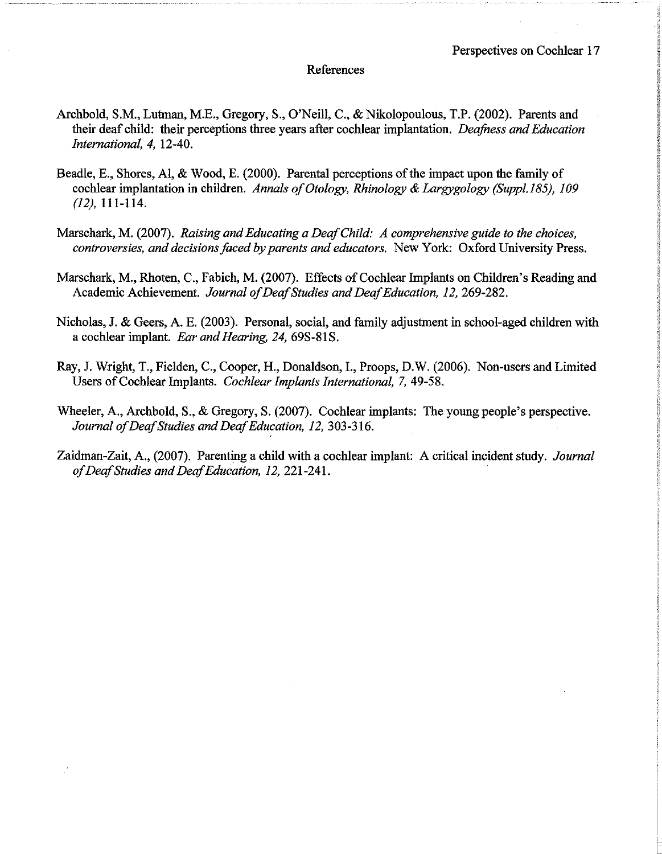#### References

- Archbold, S.M., Lutman, M.E., Gregory, S., O'Neill, C., & Nikolopoulous, T.P. (2002). Parents and their deaf child: their perceptions three years after cochlear implantation. *Deafness and Education International,* 4, 12-40.
- Beadle, E., Shores, Al, & Wood, E. (2000). Parental perceptions of the impact upon the family of cochlear implantation in children. *Annals of Otology, Rhinology & Largygology (Suppl.185)*, 109 (12), 111-1l4.
- Marschark, M. (2007). *Raising and Educating a DeafChild: A comprehensive guide to the choices, controversies, and decisionsfaced by parents and educators.* New York: Oxford University Press.
- Marschark, M., Rhoten, C., Fabich, M. (2007). Effects of Cochlear Implants on Children's Reading and Academic Achievement. *Journal ofDeafStudies and DeafEducation,* 12,269-282.
- Nicholas, J. & Geers, A. E. (2003). Personal, social, and family adjustment in school-aged children with a cochlear implant. *Ear and Hearing, 24, 69S-81S.*
- Ray, J. Wright, T., Fielden, C., Cooper, H., Donaldson, 1., Proops, D.W. (2006). Non-users and Limited Users of Cochlear Implants. *Cochlear Implants International*, 7, 49-58.
- Wheeler, A., Archbold, S., & Gregory, S. (2007). Cochlear implants: The young people's perspective. *Journal ofDeafStudies and DeafEducation,* 12, 303-316.
- Zaidman-Zait, A., (2007). Parenting a child with a cochlear implant: A critical incident study. *Journal ofDeafStudies and DeafEducation,* 12, 221-241.